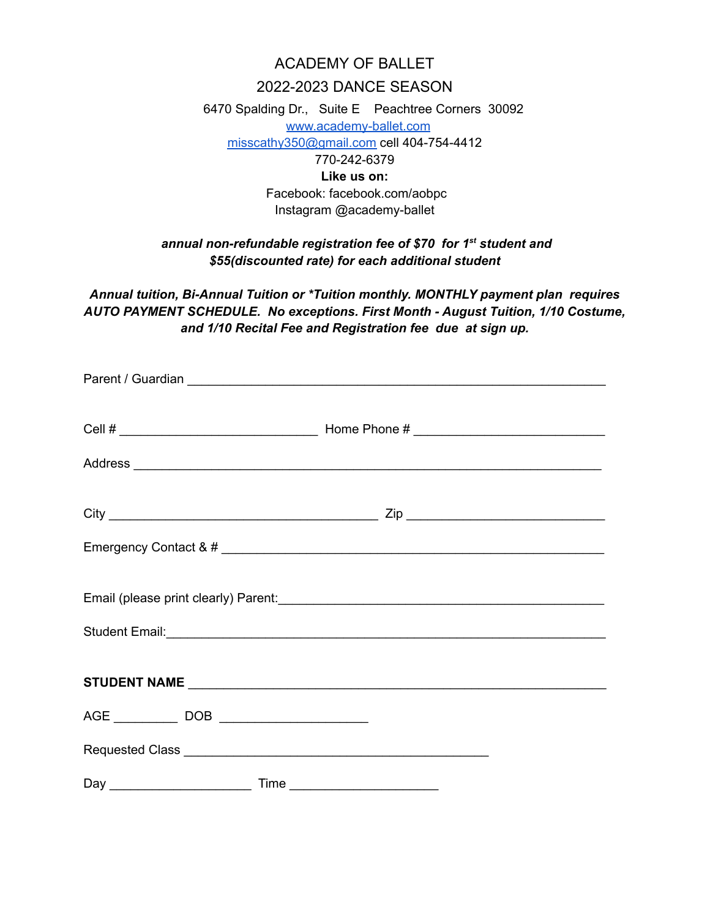## ACADEMY OF BALLET

## 2022-2023 DANCE SEASON

6470 Spalding Dr., Suite E Peachtree Corners 30092 [www.academy-ballet.com](http://www.academy-ballet.com) [misscathy350@gmail.com](mailto:misscathy350@gmail.com) cell 404-754-4412 770-242-6379 **Like us on:** Facebook: facebook.com/aobpc Instagram @academy-ballet

## *annual non-refundable registration fee of \$70 for 1 st student and \$55(discounted rate) for each additional student*

*Annual tuition, Bi-Annual Tuition or \*Tuition monthly. MONTHLY payment plan requires AUTO PAYMENT SCHEDULE. No exceptions. First Month - August Tuition, 1/10 Costume, and 1/10 Recital Fee and Registration fee due at sign up.*

|  | Student Email: <u>Alexander Alexander and Alexander and Alexander and Alexander and Alexander and Alexander and Alexander and Alexander and Alexander and Alexander and Alexander and Alexander and Alexander and Alexander and </u> |  |
|--|--------------------------------------------------------------------------------------------------------------------------------------------------------------------------------------------------------------------------------------|--|
|  |                                                                                                                                                                                                                                      |  |
|  |                                                                                                                                                                                                                                      |  |
|  |                                                                                                                                                                                                                                      |  |
|  |                                                                                                                                                                                                                                      |  |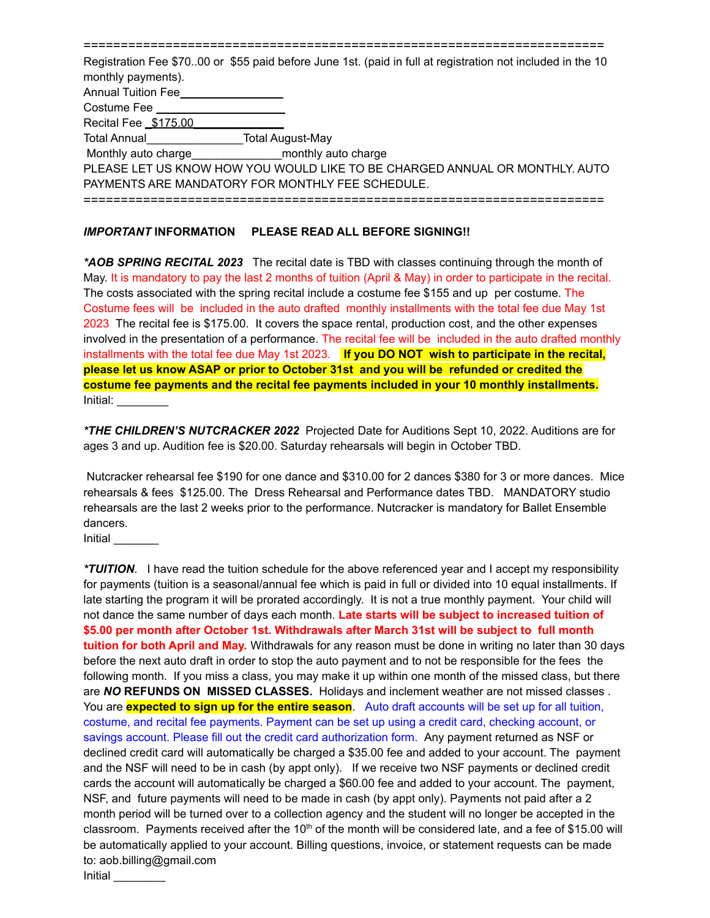======================================================================

Registration Fee \$70..00 or \$55 paid before June 1st. (paid in full at registration not included in the 10 monthly payments). Annual Tuition Fee\_ Costume Fee Recital Fee **\$175.00** Total Annual\_\_\_\_\_\_\_\_\_\_\_\_\_\_\_Total August-May Monthly auto charge monthly auto charge PLEASE LET US KNOW HOW YOU WOULD LIKE TO BE CHARGED ANNUAL OR MONTHLY. AUTO PAYMENTS ARE MANDATORY FOR MONTHLY FEE SCHEDULE. ======================================================================

## *IMPORTANT* **INFORMATION PLEASE READ ALL BEFORE SIGNING!!**

*\*AOB SPRING RECITAL 2023* The recital date is TBD with classes continuing through the month of May. It is mandatory to pay the last 2 months of tuition (April & May) in order to participate in the recital. The costs associated with the spring recital include a costume fee \$155 and up per costume. The Costume fees will be included in the auto drafted monthly installments with the total fee due May 1st 2023 The recital fee is \$175.00. It covers the space rental, production cost, and the other expenses involved in the presentation of a performance. The recital fee will be included in the auto drafted monthly installments with the total fee due May 1st 2023. **If you DO NOT wish to participate in the recital, please let us know ASAP or prior to October 31st and you will be refunded or credited the costume fee payments and the recital fee payments included in your 10 monthly installments.** Initial: \_\_\_\_\_\_\_\_

*\*THE CHILDREN'S NUTCRACKER 2022* Projected Date for Auditions Sept 10, 2022. Auditions are for ages 3 and up. Audition fee is \$20.00. Saturday rehearsals will begin in October TBD.

Nutcracker rehearsal fee \$190 for one dance and \$310.00 for 2 dances \$380 for 3 or more dances. Mice rehearsals & fees \$125.00. The Dress Rehearsal and Performance dates TBD. MANDATORY studio rehearsals are the last 2 weeks prior to the performance. Nutcracker is mandatory for Ballet Ensemble dancers.

Initial \_\_\_\_\_\_\_

*\*TUITION*. I have read the tuition schedule for the above referenced year and I accept my responsibility for payments (tuition is a seasonal/annual fee which is paid in full or divided into 10 equal installments. If late starting the program it will be prorated accordingly. It is not a true monthly payment. Your child will not dance the same number of days each month. **Late starts will be subject to increased tuition of \$5.00 per month after October 1st. Withdrawals after March 31st will be subject to full month tuition for both April and May.** Withdrawals for any reason must be done in writing no later than 30 days before the next auto draft in order to stop the auto payment and to not be responsible for the fees the following month. If you miss a class, you may make it up within one month of the missed class, but there are *NO* **REFUNDS ON MISSED CLASSES.** Holidays and inclement weather are not missed classes . You are **expected to sign up for the entire season**. Auto draft accounts will be set up for all tuition, costume, and recital fee payments. Payment can be set up using a credit card, checking account, or savings account. Please fill out the credit card authorization form. Any payment returned as NSF or declined credit card will automatically be charged a \$35.00 fee and added to your account. The payment and the NSF will need to be in cash (by appt only). If we receive two NSF payments or declined credit cards the account will automatically be charged a \$60.00 fee and added to your account. The payment, NSF, and future payments will need to be made in cash (by appt only). Payments not paid after a 2 month period will be turned over to a collection agency and the student will no longer be accepted in the classroom. Payments received after the 10<sup>th</sup> of the month will be considered late, and a fee of \$15.00 will be automatically applied to your account. Billing questions, invoice, or statement requests can be made to: aob.billing@gmail.com Initial